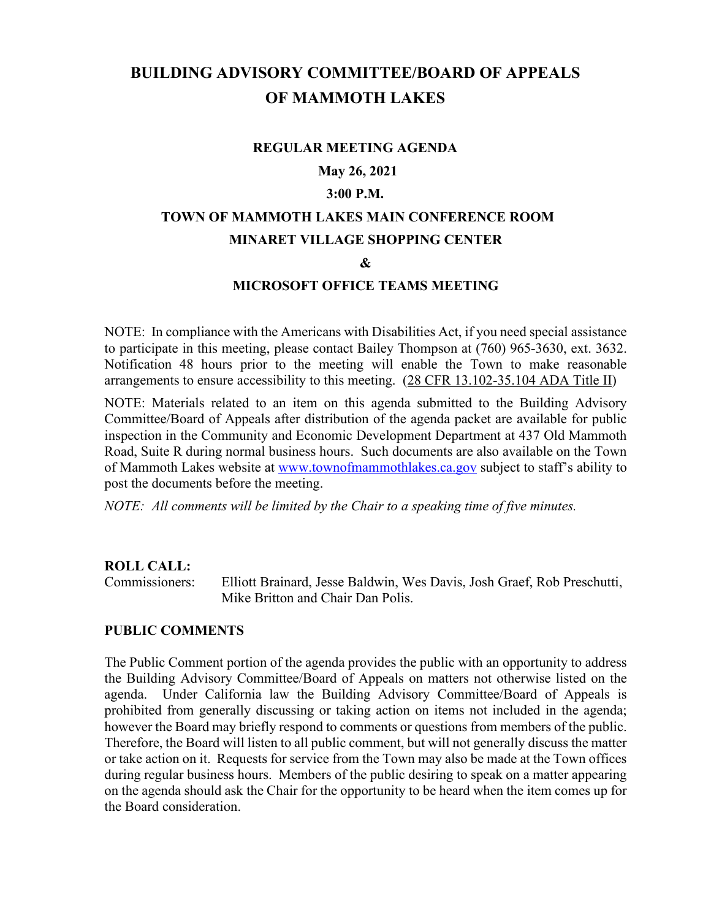# **BUILDING ADVISORY COMMITTEE/BOARD OF APPEALS OF MAMMOTH LAKES**

#### **REGULAR MEETING AGENDA**

## **May 26, 2021**

## **3:00 P.M.**

## **TOWN OF MAMMOTH LAKES MAIN CONFERENCE ROOM MINARET VILLAGE SHOPPING CENTER**

#### **&**

#### **MICROSOFT OFFICE TEAMS MEETING**

NOTE: In compliance with the Americans with Disabilities Act, if you need special assistance to participate in this meeting, please contact Bailey Thompson at (760) 965-3630, ext. 3632. Notification 48 hours prior to the meeting will enable the Town to make reasonable arrangements to ensure accessibility to this meeting. (28 CFR 13.102-35.104 ADA Title II)

NOTE: Materials related to an item on this agenda submitted to the Building Advisory Committee/Board of Appeals after distribution of the agenda packet are available for public inspection in the Community and Economic Development Department at 437 Old Mammoth Road, Suite R during normal business hours. Such documents are also available on the Town of Mammoth Lakes website at [www.townofmammothlakes.ca.gov](http://www.townofmammothlakes.ca.gov/) subject to staff's ability to post the documents before the meeting.

*NOTE: All comments will be limited by the Chair to a speaking time of five minutes.*

#### **ROLL CALL:**

Commissioners: Elliott Brainard, Jesse Baldwin, Wes Davis, Josh Graef, Rob Preschutti, Mike Britton and Chair Dan Polis.

#### **PUBLIC COMMENTS**

The Public Comment portion of the agenda provides the public with an opportunity to address the Building Advisory Committee/Board of Appeals on matters not otherwise listed on the agenda. Under California law the Building Advisory Committee/Board of Appeals is prohibited from generally discussing or taking action on items not included in the agenda; however the Board may briefly respond to comments or questions from members of the public. Therefore, the Board will listen to all public comment, but will not generally discuss the matter or take action on it. Requests for service from the Town may also be made at the Town offices during regular business hours. Members of the public desiring to speak on a matter appearing on the agenda should ask the Chair for the opportunity to be heard when the item comes up for the Board consideration.